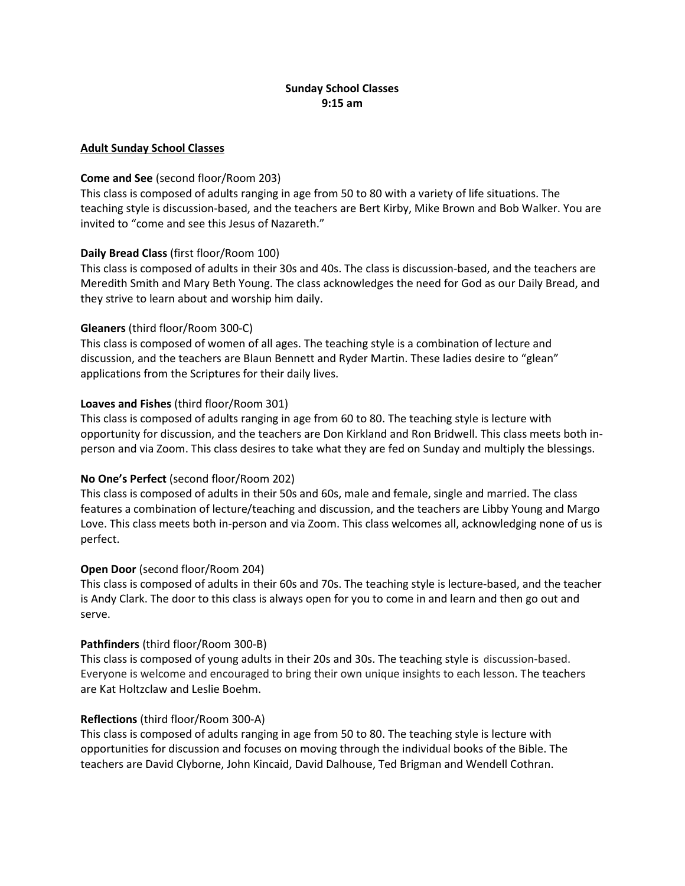# Sunday School Classes 9:15 am

### Adult Sunday School Classes

### Come and See (second floor/Room 203)

This class is composed of adults ranging in age from 50 to 80 with a variety of life situations. The teaching style is discussion-based, and the teachers are Bert Kirby, Mike Brown and Bob Walker. You are invited to "come and see this Jesus of Nazareth."

### Daily Bread Class (first floor/Room 100)

This class is composed of adults in their 30s and 40s. The class is discussion-based, and the teachers are Meredith Smith and Mary Beth Young. The class acknowledges the need for God as our Daily Bread, and they strive to learn about and worship him daily.

### Gleaners (third floor/Room 300-C)

This class is composed of women of all ages. The teaching style is a combination of lecture and discussion, and the teachers are Blaun Bennett and Ryder Martin. These ladies desire to "glean" applications from the Scriptures for their daily lives.

### Loaves and Fishes (third floor/Room 301)

This class is composed of adults ranging in age from 60 to 80. The teaching style is lecture with opportunity for discussion, and the teachers are Don Kirkland and Ron Bridwell. This class meets both inperson and via Zoom. This class desires to take what they are fed on Sunday and multiply the blessings.

#### No One's Perfect (second floor/Room 202)

This class is composed of adults in their 50s and 60s, male and female, single and married. The class features a combination of lecture/teaching and discussion, and the teachers are Libby Young and Margo Love. This class meets both in-person and via Zoom. This class welcomes all, acknowledging none of us is perfect.

#### Open Door (second floor/Room 204)

This class is composed of adults in their 60s and 70s. The teaching style is lecture-based, and the teacher is Andy Clark. The door to this class is always open for you to come in and learn and then go out and serve.

#### Pathfinders (third floor/Room 300-B)

This class is composed of young adults in their 20s and 30s. The teaching style is discussion-based. Everyone is welcome and encouraged to bring their own unique insights to each lesson. The teachers are Kat Holtzclaw and Leslie Boehm.

#### Reflections (third floor/Room 300-A)

This class is composed of adults ranging in age from 50 to 80. The teaching style is lecture with opportunities for discussion and focuses on moving through the individual books of the Bible. The teachers are David Clyborne, John Kincaid, David Dalhouse, Ted Brigman and Wendell Cothran.